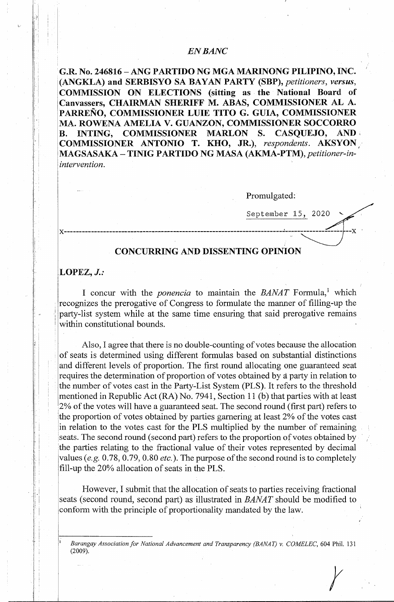# *ENBANC*

. **G.R. No. 246816 -ANG PARTIDO NG MGA MARINONG PILIPINO, INC.** <sup>1</sup> (ANGKLA) and SERBISYO SA BAYAN PARTY (SBP), *petitioners, versus,* **COMMISSION ON ELECTIONS (sitting as the National Board of Canvassers, CHAIRMAN SHERIFF M. ABAS, COMMISSIONER AL A. PARRENO, COMMISSIONER LUIE TITO G. GUIA, COMMISSIONER MA. ROWENA AMELIA V. GUANZON, COMMISSIONER SOCCORRO B. INTING, COMMISSIONER MARLON S. CASQUEJO, AND** , **COMMISSIONER ANTONIO T. KHO, JR.),** *respondents.* **AKSYON,** · **MAGSASAKA** - **TINIG PARTIDO NG MASA (AKMA-PTM),** *petitioner-inintervention.* 

Promulgated:

September 15, 2020 x------------------------------------------------------------------------·------------------- --x **CONCURRING AND DISSENTING OPINION** 

## **LOPEZ,** *J.:*

. .

I concur with the *ponencia* to maintain the *BANAT* Formula,<sup>1</sup> which recognizes the prerogative of Congress to formulate the manner of filling-up the party-list system while at the same time ensuring that said prerogative remains within constitutional bounds.

Also, I agree that there is no double-counting of votes because the allocation of seats is determined using different formulas based on substantial distinctions and different levels of proportion. The first round allocating one guaranteed seat requires the determination of proportion of votes obtained by a party in relation to the number of votes cast in the Party-List System (PLS). It refers to the threshold mentioned in Republic Act (RA) No. 7941, Section 11 (b) that parties with at least 2% of the votes will have a guaranteed seat. The second round (first part) refers to the proportion of votes obtained by parties garnering at least 2% of the votes cast in relation to the votes cast for the PLS multiplied by the number of remaining seats. The second round (second part) refers to the proportion of votes obtained by the parties relating to the fractional value of their votes represented by decimal values (e.g. 0.78, 0.79, 0.80 *etc.).* The purpose of the second round is to completely fill-up the 20% allocation of seats in the PLS.

However, I submit that the allocation of seats to parties receiving fractional seats (second round, second part) as illustrated in *BANAT* should be modified to conform with the principle of proportionality mandated by the law.

<sup>1</sup>*Barangay Association for National Advancement and Transparency (BANAT) v. COMELEC,* 604 Phil. 131 (2009). r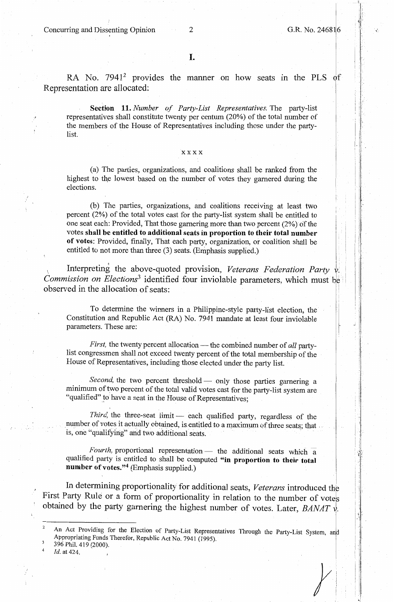Concurring and Dissenting Opinion 2 G.R. No. 246816

I, :1,

! !

RA No.  $7941^2$  provides the manner on how seats in the PLS of Representation are allocated:

**Section 11.** *Number of Party-List Representatives.* The party-list representatives shall constitute twenty per centum (20%) of the total number of the members of the House of Representatives including those under the partylist

### **xxxx**

(a) The parties, organizations, and coalitions shall be ranked from the highest to the lowest based on the number of votes they garnered during the elections.

(b) The parties, organizations, and coalitions receiving at least two percent (2%) of the total votes cast for the party-list system shall be entitled to one seat each: Provided, That those garnering more than two percent (2%) of the votes **shall be entitled to additional seats in proportion to their total number of votes:** Provided, finally, That each party, organization, or coalition shall be entitled to not more than three (3) seats. (Emphasis supplied.)

, Interpreting the above-quoted provision, *Veterans Federation Party v. Commission on Elections<sup>3</sup>* identified four inviolable parameters, which must be observed in the allocation of seats:

To determine the winners in a Philippine-style party-list election, the Constitution and Republic Act (RA) No. 7941 mandate at least four inviolable parameters. These are:

*First*, the twenty percent allocation — the combined number of *all* partylist congressmen shall not exceed twenty percent of the total membership of the House of Representatives, including those elected under the party list.

Second, the two percent threshold - only those parties garnering a minimum of two percent of the total valid votes cast for the party-list system are "qualified" to have a seat in the House of Representatives;

Third, the three-seat limit - each qualified party, regardless of the number of votes it actually obtained, is entitled to a maximum of three seats; that . is, one "qualifying" and two additional seats.

*Fourth,* proportional representation - the additional seats which a qualified party is entitled to shall be computed **"in proportion to their total number of votes."4** (Emphasis supplied.)

, In determining proportionality for additional seats, *Veterans* introduced th First Party Rule or a form of proportionality in relation to the number of votes obtained by the party garnering the highest number of votes. Later, *BANAT* ·.

- 396 Phil. 419 (2000).
- <sup>4</sup>*Id.* at 424.

 $\mathcal{Y}$ 

, ..

An Act Providing for the Election of Party-List Representatives Through the Party-List System, and Appropriating Funds Therefor, Republic Act No. 7941 (1995).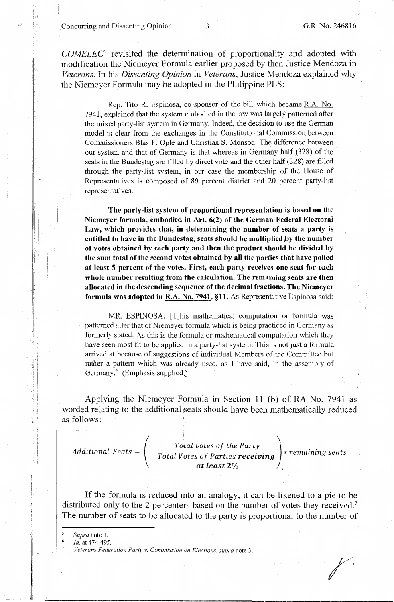. Concurring and Dissenting Opinion 3 **G.R.** No. 246816

*j,* 

-I

*.y·* . *f* .

*COMELEC5* revisited the determination of proportionality and adopted with modification the Niemeyer Formula earlier proposed by then Justice Mendoza in *Veterans.* In his *Dissenting Opinion* in *Veterans,* Justice Mendoza explained why the Niemeyer Formula may be adopted in the Philippine PLS:

Rep. Tito R. Espinosa, co-sponsor of the bill which became R.A. No. 7941, explained that the system embodied in the law was largely patterned after the mixed party-list system in Germany. Indeed, the decision to use the German model is clear from the exchanges in the Constitutional Commission between Commissioners Blas F. Ople and Christian S. Monsod. The difference between our system and that of Germany is that whereas in Germany half (328) of the seats in the Bundestag are filled by direct vote and the other half (328) are filled through the party-list system, in our case the membership of the House of Representatives is composed of 80 percent district and 20 percent party-list representatives.

**The party-list system of proportional representation is based on the Niemeyer formula, embodied in Art. 6(2) of the German Federal Electoral Law, which provides that, in determining the number of seats a party is entitled to have in the Bundestag, seats should be multiplied ,by the number**  of **votes obtained by each party and then the product should be divided by**  the sum total of the second votes obtained by all the parties that have polled at **least 5 percent of the votes. First, each party receives one seat for each whole number resulting from the calculation. The remaining seats are then allocated in the descending sequence of the decimal fractions. The Niemeyer formula was adopted in R.A. No. 7941, §11.** As Representative Espinosa said:

MR. ESPINOSA: [T]his mathematical computation or fornmla was patterned after that of Niemeyer formula which is being practiced in Germany as formerly stated. As this is the formula or mathematical computation which they have seen most fit to be applied in a party-list system. This is not just a formula arrived at because of suggestions of individual Members of the Committee but rather a pattern which was already used, as I have said, in the assembly of Germany.<sup>6</sup> (Emphasis supplied.)

Applying the Niemeyer Formula in Section 11 (b) of RA No. 7941 as worded relating to the additional seats should have been mathematically reduced as follows:

| $Additional \textit{ Seats} =$ | Total votes of the Party         |                   |
|--------------------------------|----------------------------------|-------------------|
|                                | Total Votes of Parties receiving | * remaining seats |
|                                | at least 2%                      |                   |

If the formula is reduced into an analogy, it can be likened to a pie to be distributed only to the 2 percenters based on the number of votes they received.<sup>7</sup> The number of seats to be allocated to the party is proportional to the number of

*Supra* note 1.

! -'·

' !

*Id.* at 474-495.

*Veterans Federation Party v. Commission on Elections, supra* note 3.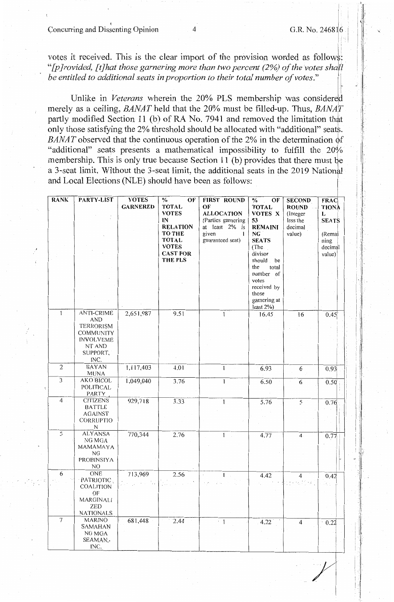Concurring and Dissenting Opinion 4 G.R. No. 246816

/

I 1 I I I .

I· 11

1- Ι.

' I i

votes it received. This is the clear import of the provision worded as follows: *"[p]rovided, [t]hat those garnering more than two percent (2%) of the votes shall.: be entitled to additional seats in proportion to their total number of votes."* 

Unlike in *Veterans* wherein the 20% PLS membership was considered merely as a ceiling, *BANAT* held that the 20% must be filled-up. Thus, *BANAT* partly modified Section 11 (b) of RA No. 7941 and removed the limitation that only those satisfying the 2% threshold should be allocated with "additional" seats. *BANAT* observed that the continuous operation of the 2% in the determination of "additional" seats presents a mathematical impossibility to fulfill the  $20\%$ membership. This is only true because Section 11 (b) provides that there must be a 3-seat limit. Without the 3-seat limit, the additional seats in the 2019 National and Local Elections (NLE) should have been as follows:

| <b>RANK</b>    | PARTY-LIST        | <b>VOTES</b>    | $\frac{0}{0}$<br>OF | <b>FIRST ROUND</b> | $\%$<br>OF     | <b>SECOND</b>  | <b>FRAC</b>  |
|----------------|-------------------|-----------------|---------------------|--------------------|----------------|----------------|--------------|
|                |                   | <b>GARNERED</b> | <b>TOTAL</b>        | OF                 | <b>TOTAL</b>   | <b>ROUND</b>   | <b>TIONA</b> |
|                |                   |                 | <b>VOTES</b>        | <b>ALLOCATION</b>  | VOTES X        | (Integer       | L            |
|                |                   |                 | IN                  | (Parties garnering | 53             | less the       | <b>SEATS</b> |
|                |                   |                 | <b>RELATION</b>     | at least 2% is     | <b>REMAINI</b> | decimal        |              |
|                |                   |                 | <b>TO THE</b>       | given<br>1         | ${\bf NG}$     | value)         | (Remai       |
|                |                   |                 | <b>TOTAL</b>        | guaranteed seat)   | <b>SEATS</b>   |                | ning         |
|                |                   |                 | <b>VOTES</b>        |                    | (The           |                | decimal      |
|                |                   |                 | <b>CAST FOR</b>     |                    | divisor        |                | value)       |
|                |                   |                 | THE PLS             |                    | should<br>be   |                |              |
|                |                   |                 |                     |                    | the<br>total   |                |              |
|                |                   |                 |                     |                    | number of      |                |              |
|                |                   |                 |                     |                    | votes          |                |              |
|                |                   |                 |                     |                    | received by    |                |              |
|                |                   |                 |                     |                    | those          |                |              |
|                |                   |                 |                     |                    | garnering at   |                |              |
|                |                   |                 |                     |                    | least 2%)      |                |              |
| $\mathbf{1}$   | <b>ANTI-CRIME</b> | 2,651,987       | 9.51                | $\mathbf{1}$       | 16.45          | 16             | 0.45         |
|                | <b>AND</b>        |                 |                     |                    |                |                |              |
|                | <b>TERRORISM</b>  |                 |                     |                    |                |                |              |
|                | COMMUNITY         |                 |                     |                    |                |                |              |
|                | <b>INVOLVEME</b>  |                 |                     |                    |                |                |              |
|                | NT AND            |                 |                     |                    |                |                |              |
|                | SUPPORT,          |                 |                     |                    |                |                |              |
|                | INC.              |                 |                     |                    |                |                |              |
| $\overline{2}$ | <b>BAYAN</b>      | 1,117,403       | 4.01                | L                  | 6.93           | 6              | 0.93         |
|                | <b>MUNA</b>       |                 |                     |                    |                |                |              |
| $\overline{3}$ | <b>AKO BICOL</b>  | 1,049,040       | 3.76                | 1                  | 6.50           | 6              | 0.50         |
|                | <b>POLITICAL</b>  |                 |                     |                    |                |                |              |
|                | <b>PARTY</b>      |                 |                     |                    |                |                |              |
| $\overline{4}$ | <b>CITIZENS</b>   | 929,718         | 3.33                | 1                  | 5.76           | $\overline{5}$ | 0.76         |
|                | <b>BATTLE</b>     |                 |                     |                    |                |                |              |
|                | <b>AGAINST</b>    |                 |                     |                    |                |                |              |
|                | CORRUPTIO         |                 |                     |                    |                |                |              |
|                | N                 |                 |                     |                    |                |                |              |
| $\overline{5}$ | <b>ALYANSA</b>    | 770,344         | 2.76                | 1                  | 4.77           | $\mathbf{4}$   | 0.77         |
|                | NG MGA            |                 |                     |                    |                |                |              |
|                | MAMAMAYA          |                 |                     |                    |                |                |              |
|                | NG                |                 |                     |                    |                |                |              |
|                | PROBINSIYA        |                 |                     |                    |                |                |              |
|                | NO                |                 |                     |                    |                |                |              |
| 6              | ONE               | 713,969         | 2.56                |                    | 4.42           | $\overline{4}$ | 0.42         |
|                | PATRIOTIC.        |                 |                     |                    |                | file p         |              |
|                | COALITION         |                 |                     |                    |                |                |              |
|                | OF                |                 |                     |                    |                |                |              |
|                | MARGINALI         |                 |                     |                    |                |                |              |
|                | <b>ZED</b>        |                 |                     |                    |                |                |              |
|                | <b>NATIONALS</b>  |                 |                     |                    |                |                |              |
| $\overline{7}$ | <b>MARINO</b>     | 681,448         | 2.44                | 1                  | 4.22           | $\overline{4}$ | 0.22         |
|                | SAMAHAN           |                 |                     |                    |                |                |              |
|                | NG MGA            |                 |                     |                    |                |                |              |
|                | SEAMAN,           |                 |                     |                    |                |                |              |
|                | INC.              |                 |                     |                    |                |                |              |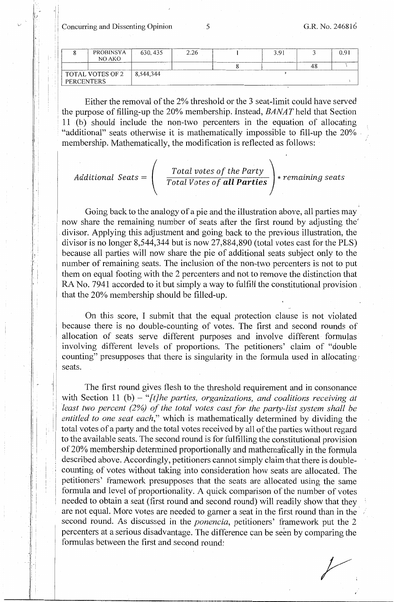11 Concurring and Dissenting Opinion 5 G.R. No. 246816

 $\sim$ 

fJ

 $\cdot$  II

-I

*i.*  l

|                                | PROBINSYA | 630, 435                                       | 2.26                                       | 3.91                                                |  |
|--------------------------------|-----------|------------------------------------------------|--------------------------------------------|-----------------------------------------------------|--|
|                                | NO AKO    | <b>CONTRACTOR AND INTERNATIONAL CONTRACTOR</b> |                                            | ------------                                        |  |
| TOTAL VOTES OF 2<br>PERCENTERS |           | $\mid$ 8.544.344                               | ______<br><b>A PAINT AT LEAST AT LCCC.</b> | <b>MONTHLAND ART AND LONGITUDE IN THE RESIDENCE</b> |  |

Either the removal of the 2% threshold or the 3 seat-limit could have served the purpose of filling-up the 20% membership. Instead, *BANAT* held that Section ! 11 (b) should include the non-two percenters in the equation of allocating · "additional" seats otherwise it is mathematically impossible to fill-up the 20% . membership. Mathematically, the modification is reflected as follows:

Additional 
$$
Seats = \begin{pmatrix} Total votes of the Party \\ Total Votes of all Parties \end{pmatrix} * remaining seats
$$

Going back to the analogy of a pie and the illustration above, all parties may now share the remaining number of seats after the first round by adjusting the' . divisor. Applying this adjustment and going back to the previous illustration, the divisor is no longer 8,544,344 but is now 27,884,890 (total votes cast for the PLS) because all parties will now share the pie of additional seats subject only to the number of remaining seats. The inclusion of the non-two percenters is not to put them on equal footing with the 2 percenters and not to remove the distinction that RA No. 7941 accorded to it but simply a way to fulfill the constitutional provision , that the 20% membership should be filled-up.

On this score, I submit that the equal protection clause is not violated because there is no double-counting of votes. The first and second rounds of allocation of seats serve different purposes and involve different formulas involving different levels of proportions. The petitioners' claim of "double counting" presupposes that there is singularity in the formula used in allocating seats.

The first round gives flesh to the threshold requirement and in consonance with Section 11 (b) - "[t]he parties, organizations, and coalitions receiving at least two percent (2%) of the total votes cast for the party-list system shall be *entitled to one seat each,"* which is mathematically determined by dividing the total votes of a party and the total votes received by all of the parties without regard to the available seats. The second round is for fulfilling the constitutional provision of 20% membership determined proportionally and mathematically in the formvla described above. Accordingly, petitioners cannot simply claim-that there is doublecounting of votes without taking into consideration how seats are allocated. The petitioners' framework presupposes that the seats are allocated using the same formula and level of proportionality. A quick comparison of the number of votes needed to obtain a seat (first round and second round) will readily show that they are not equal. More votes are needed to garner a seat in the first round than in the second round. As discussed in the *ponencia,* petitioners' framework put the 2 percenters at a serious disadvantage. The difference can be seen by comparing the formulas between the first and second round:

r.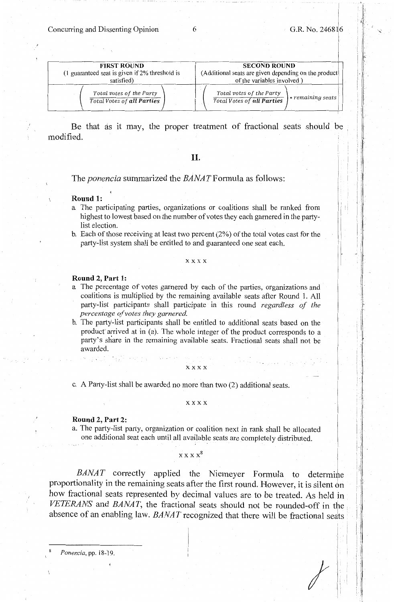Concurring and Dissenting Opinion 6 G.R. No. 246816

| . <u>||</u>

j

 $\mathbb{R}^n$ !1 i I i-

*I* 

| <b>FIRST ROUND</b>                                            | <b>SECOND ROUND</b>                                                                     |  |  |  |
|---------------------------------------------------------------|-----------------------------------------------------------------------------------------|--|--|--|
| $(1)$ guaranteed seat is given if 2% threshold is             | (Additional seats are given depending on the product                                    |  |  |  |
| satisfied)                                                    | of the variables involved)                                                              |  |  |  |
| Total votes of the Party<br><b>Total Votes of all Parties</b> | Total votes of the Party<br>$\ast$ remaining seats<br><b>Total Votes of all Parties</b> |  |  |  |

Be that as it may, the proper treatment of fractional seats should be modified.

## II.

The *ponencia* summarized the *BANATFormula* as follows:

#### **Round 1:**

- a The participating parties, organizations or coalitions shall be ranked from highest to lowest based on the number of votes they each garnered in the partylist election.
- b. Each of those receiving at least two percent (2%) of the total votes cast for the party-list system shall be entitled to and guaranteed one seat each.

#### **xxxx**

## **Round 2, Part 1:**

- a The percentage of votes garnered by each of the parties, organizations and coalitions is multiplied by the remaining available seats after Round 1. All party-list participants shall participate in this round *regardless of the percentage of votes they garnered.*
- b. The party-list participants shall be entitled to additional seats based on the product arrived at in (a). The whole integer of the product corresponds to a party's share in the remaining available seats. Fractional seats shall not be awarded.

#### **xxxx**

c. A Party-list shall be awarded no more than two (2) additional seats.

#### xxxx

### **Round 2, Part** 2:

a. The party-list party, organization or coalition next in rank shall be allocated one additional seat each until all available seats are completely distributed.

### $x x x x^8$

*BANAT* correctly applied the Niemeyer Formula to determine proportionality in the remaining seats after the first round. However, it is silent on how fractional seats represented by decimal values are to be treated. As held in *VETERANS* and *BANAT,* the fractional seats should not be rounded-off in the. absence of an enabling law. *BANAT* recognized that there will be fractional seats

*Ponencia,* pp. 18-19.

----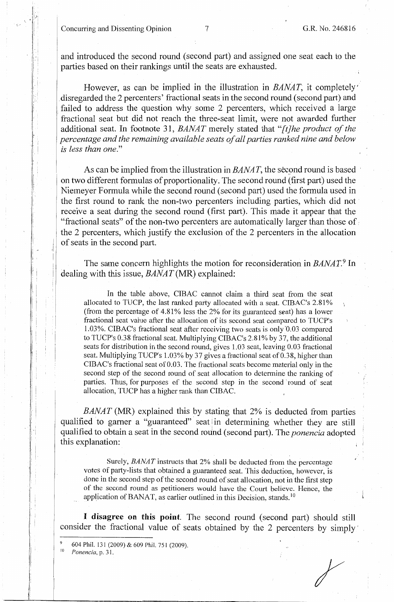Concurring and Dissenting Opinion 7 G.R. No. 246816

I I. ' i: f. 1, I. I!

i·

I i . I

'

I

i I I

! :

. i

. I

and introduced the second round ( second part) and assigned one seat each to the parties based on their rankings until the seats are exhausted.

However, as can be implied in the illustration in *BANAT,* it completely' disregarded the 2 percenters' fractional seats in the second round (second part) and failed to address the question why some 2 percenters, which received a large fractional seat but did not reach the three-seat limit, were not awarded further additional seat. In footnote 31, *BANAT* merely stated that *"[t]he product of the percentage and the remaining available seats of all parties ranked nine and below is less than one."* 

As can be implied from the illustration in *BANAT*, the second round is based on two different formulas of proportionality. The second round (first part) used the Niemeyer Formula while the second round (second part) used the formula used in the first round to rank the non-two percenters including parties, which did not receive a seat during the second round (first part). This made it appear that the "fractional seats" of the non-two percenters are automatically larger than those of.· the 2 percenters, which justify the exclusion of the 2 percenters in the allocation of seats in the second part.

The same concern highlights the motion for reconsideration in *BANAT*.<sup>9</sup> In dealing with this issue, *BANAT* (MR) explained:

In the table above, CIBAC cannot claim a third seat from the seat allocated to TUCP, the last ranked party allocated with a seat. CIBAC's 2.81% (from the percentage of  $4.81\%$  less the 2% for its guaranteed seat) has a lower fractional seat value after the allocation of its second seat compared to TUCP's 1.03%. CIBAC's fractional seat after receiving two seats is only'0.03 compared to TUCP's 0.38 fractional seat. Multiplying CIBAC's 2.81% by 37, the additional seats for distribution in the second round, gives 1.03 seat, leaving 0.03 fractional seat. Multiplying TUCP's 1.03% by 37 gives a fractional seat of 0.38, higher than CIBA C's fractional seat of 0.03. The fractional seats become material only in the second step of the second round of seat allocation to determine the ranking of parties. Thus, for purposes of the second step in the second round of seat allocation, TUCP has a higher rank than CIBAC.

*BANAT* (MR) explained this by stating that 2% is deducted from parties qualified to garner a "guaranteed" seat in determining whether they are still qualified to obtain a seat in the second round (second pmi). The *ponencia* adopted this explanation:

Surely, *BANAT* instructs that 2% shall be deducted from the percentage votes of party-lists that obtained a guaranteed seat. This deduction, however, is done in the second step of the second round of seat allocation, not in the first step of the second round as petitioners would have the Court believe. Hence, the application of BANAT, as earlier outlined in this Decision, stands.  $10$ 

I **disagree on** this **point** The second round (second part) should still consider the fractional value of seats obtained by the 2 percenters by simply'

Ponencia, p. 31.

 $^{9}$  604 Phil. 131 (2009) & 609 Phil. 751 (2009).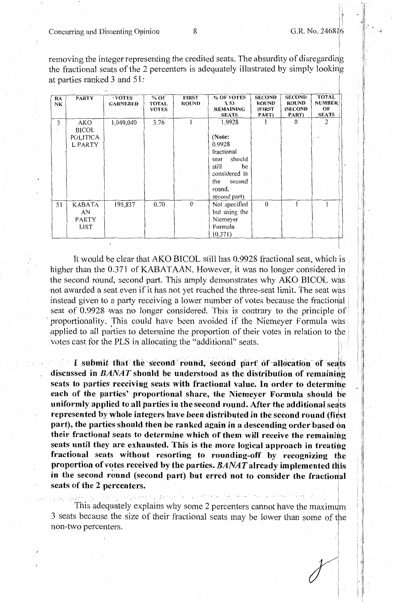r<br>F

i I

i 1·11 I. ! I '

1 ·

removing the integer representing the credited seats. The absurdity of disregarding the fractional seats of the 2 percenters is adequately illustrated by simply looking at parties ranked 3 and 51:

| RA<br>NK | <b>PARTY</b> | $\cdot$ VOTES<br><b>GARNERED</b> | % OF<br><b>TOTAL</b><br><b>VOTES</b> | <b>FIRST</b><br>ROUND | % OF VOTES<br>X 53<br><b>REMAINING</b><br><b>SEATS</b> | <b>SECOND</b><br><b>ROUND</b><br>(FIRST)<br>PART) | <b>SECOND</b><br><b>ROUND</b><br><b>(SECOND</b><br>PART) | <b>TOTAL</b><br><b>NUMBER</b><br>OF<br><b>SEATS</b> |
|----------|--------------|----------------------------------|--------------------------------------|-----------------------|--------------------------------------------------------|---------------------------------------------------|----------------------------------------------------------|-----------------------------------------------------|
| 3        | AKO          | 1,049,040                        | 3.76                                 |                       | 1.9928                                                 |                                                   | $\theta$                                                 | 2                                                   |
|          | <b>BICOL</b> |                                  |                                      |                       |                                                        |                                                   |                                                          |                                                     |
|          | POLITICA     |                                  |                                      |                       | (Note:                                                 |                                                   |                                                          |                                                     |
|          | L PARTY      |                                  |                                      |                       | 0.9928                                                 |                                                   |                                                          |                                                     |
|          |              |                                  |                                      |                       | fractional                                             |                                                   |                                                          |                                                     |
|          |              |                                  |                                      |                       | should<br>seat                                         |                                                   |                                                          |                                                     |
|          |              |                                  |                                      |                       | still<br>be                                            |                                                   |                                                          |                                                     |
|          |              |                                  |                                      |                       | considered in                                          |                                                   |                                                          |                                                     |
|          |              |                                  |                                      |                       | the<br>second                                          |                                                   |                                                          |                                                     |
|          |              |                                  |                                      |                       | round,                                                 |                                                   |                                                          |                                                     |
|          |              |                                  |                                      |                       | second part)                                           |                                                   |                                                          |                                                     |
| 51       | KABATA       | 195,837                          | 0.70                                 | $\Omega$              | Not specified                                          | $\mathbf{0}$                                      |                                                          |                                                     |
|          | AN           |                                  |                                      |                       | but using the                                          |                                                   |                                                          |                                                     |
|          | PARTY        |                                  |                                      |                       | Niemeyer                                               |                                                   |                                                          |                                                     |
|          | LIST         |                                  |                                      |                       | Formula                                                |                                                   |                                                          |                                                     |
|          |              |                                  |                                      |                       | (0.371)                                                |                                                   |                                                          |                                                     |

It would be clear that AKO BICOL still has 0.9928 fractional seat, which is higher than the 0.371 of KABATAAN. However, it was no longer considered in the second round, second part. This amply demonstrates why AKO BICOL whs not awarded a seat even if it has not yet reached the three-seat limit. The seat was instead given to a party receiving a lower number of votes because the fractional seat of  $0.9928$  was no longer considered. This is contrary to the principle of proportionality. This could have been avoided if the Niemeyer Formula was applied to all parties to determine the proportion of their votes in relation to the. votes cast for the PLS in allocating the "additional" seats.

• I

**1** submit that the second round; second part of allocation of seats discussed in *BANAT* should be understood as the distribution of remaining seats to parties receiving seats with fractional value. In order to determine each of the parties' proportional share, the Niemeyer Formula should be uniformly applied to all parties in the second round. After the additional seats represented by whole integers have been distributed in the second round (first part), the parties should then be ranked again in a descending order based on **their fractional seats to determine which of them will receive the remainihg seats until they are exhausted. This is the more logical approach in treatihg fractional seats without resorting to rounding-off by recognizing tbe proportion of votes received by the parties. BANAT already implemented this** in the second round (second part) but erred not to consider the fractional **seats of the 2 percenters.** 

This adequately explains why some 2 percenters cannot have the maximum 3 seats because the size of their fractional seats may be lower than some of the non-two percenters.

 $\mathcal{L} \in \mathcal{L}(\mathcal{L})$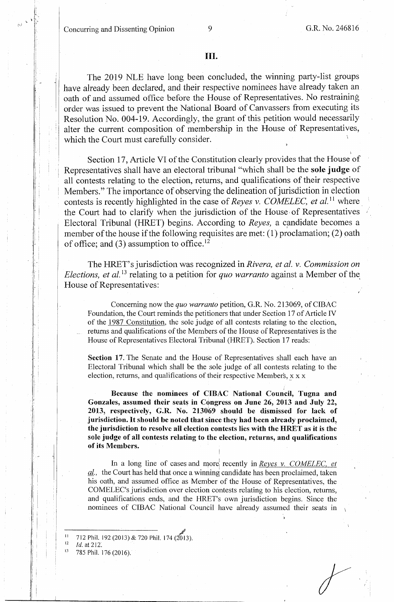Concurring and Dissenting Opinion 9 G.R. No. 246816

I ·,\_. i'

> i : <sup>I</sup>I i

; i

' I I  $|\cdot|$ 

!. i : I

\

The 2019 NLE have long been concluded, the winning party-list groups have already been declared, and their respective nominees have already taken an oath of and assumed office before the House of Representatives. No restraining order was issued to prevent the National Board of Canvassers from executing its Resolution No. 004-19. Accordingly, the grant of this petition would necessarily alter the current composition of membership in the House of Representatives, which the Court must carefully consider.

Section 17, Article VI of the Constitution clearly provides that the House of Representatives shall have an electoral tribunal "which shall be the **sole judge** of all contests relating to the election, returns, and qualifications of their respective ! Members." The importance of observing the delineation of jurisdiction in election contests is recently highlighted in the case of *Reyes v. COMELEC, et al.*<sup>11</sup> where the Court had to clarify when the jurisdiction of the House• of Representatives Electoral Tribunal (HRET) begins. According to *Reyes*, a candidate becomes a member of the house if the following requisites are met: (1) proclamation; (2) oath of office; and  $(3)$  assumption to office.<sup>12</sup>

The HRET's jurisdiction was recognized in *Rivera, et al.* v. *Commission on Elections, et al.*<sup>13</sup> relating to a petition for *quo warranto* against a Member of the House of Representatives:

Concerning now the *quo warranto* petition, G.R. No. 213069, of CIBAC Foundation, the Court reminds the petitioners that under Section 17 of Article IV of the 1987 Constitution, the sole judge of all contests relating to the election, returns and qualifications of the Members of the House of Representatives is the House of Representatives Electoral Tribunal (HRET). Section 17 reads:

**Section 17.** The Senate and the House of Representatives shall each have an Electoral Tribunal which shall be the sole judge of all contests relating to the election, returns, and qualifications of their respective Members,  $x \times x$ 

**Because the nominees of CIBAC National Council, Tugna and Gonzales, assumed their seats in Congress on June 26, 2013 and July 22, 2013, respectively, G.R. No. 213069 should be dismissed for lack of jurisdiction.** It **should be noted that since they had been already proclaimed, the \_jurisdiction to resolve all election contests lies with the HRET as it** is the **sole judge of all contests relating to the election, returns, and qualifications of its Members.**  i

In a long line of cases and more recently in *Reyes v. COMELEC, et al.,* the Couti has held that once a winning candidate has been proclaimed, taken his oath, and assumed office as Member of the House of Representatives, the COMELEC's jurisdiction over election contests relating to his election, returns, and qualifications ends, and the HRET's own jurisdiction begins. Since the nominees of CIBAC National Council have already assumed their seats in

*11* 712 Phil. 192 (2013) & 720 Phil. 174 (2013).

<sup>12</sup> *Id.* at 212.<br><sup>13</sup> 785 Phil. 176 (2016).